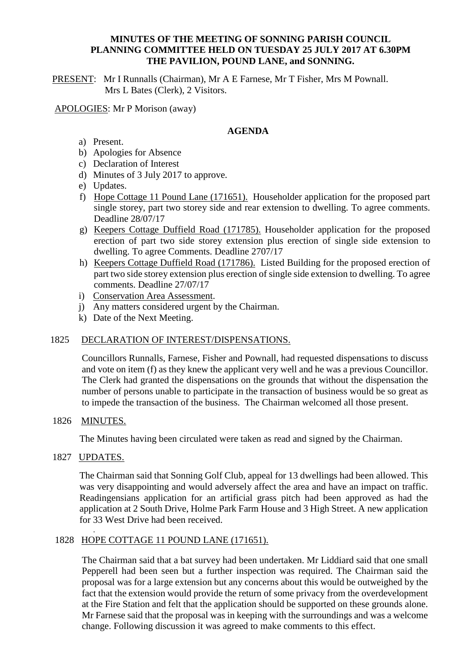### **MINUTES OF THE MEETING OF SONNING PARISH COUNCIL PLANNING COMMITTEE HELD ON TUESDAY 25 JULY 2017 AT 6.30PM THE PAVILION, POUND LANE, and SONNING.**

PRESENT: Mr I Runnalls (Chairman), Mr A E Farnese, Mr T Fisher, Mrs M Pownall. Mrs L Bates (Clerk), 2 Visitors.

APOLOGIES: Mr P Morison (away)

#### **AGENDA**

- a) Present.
- b) Apologies for Absence
- c) Declaration of Interest
- d) Minutes of 3 July 2017 to approve.
- e) Updates.
- f) Hope Cottage 11 Pound Lane (171651). Householder application for the proposed part single storey, part two storey side and rear extension to dwelling. To agree comments. Deadline 28/07/17
- g) Keepers Cottage Duffield Road (171785). Householder application for the proposed erection of part two side storey extension plus erection of single side extension to dwelling. To agree Comments. Deadline 2707/17
- h) Keepers Cottage Duffield Road (171786). Listed Building for the proposed erection of part two side storey extension plus erection of single side extension to dwelling. To agree comments. Deadline 27/07/17
- i) Conservation Area Assessment.
- j) Any matters considered urgent by the Chairman.
- k) Date of the Next Meeting.

### 1825 DECLARATION OF INTEREST/DISPENSATIONS.

Councillors Runnalls, Farnese, Fisher and Pownall, had requested dispensations to discuss and vote on item (f) as they knew the applicant very well and he was a previous Councillor. The Clerk had granted the dispensations on the grounds that without the dispensation the number of persons unable to participate in the transaction of business would be so great as to impede the transaction of the business. The Chairman welcomed all those present.

#### 1826 MINUTES.

The Minutes having been circulated were taken as read and signed by the Chairman.

#### 1827 UPDATES.

.

The Chairman said that Sonning Golf Club, appeal for 13 dwellings had been allowed. This was very disappointing and would adversely affect the area and have an impact on traffic. Readingensians application for an artificial grass pitch had been approved as had the application at 2 South Drive, Holme Park Farm House and 3 High Street. A new application for 33 West Drive had been received.

# 1828 HOPE COTTAGE 11 POUND LANE (171651).

The Chairman said that a bat survey had been undertaken. Mr Liddiard said that one small Pepperell had been seen but a further inspection was required. The Chairman said the proposal was for a large extension but any concerns about this would be outweighed by the fact that the extension would provide the return of some privacy from the overdevelopment at the Fire Station and felt that the application should be supported on these grounds alone. Mr Farnese said that the proposal was in keeping with the surroundings and was a welcome change. Following discussion it was agreed to make comments to this effect.